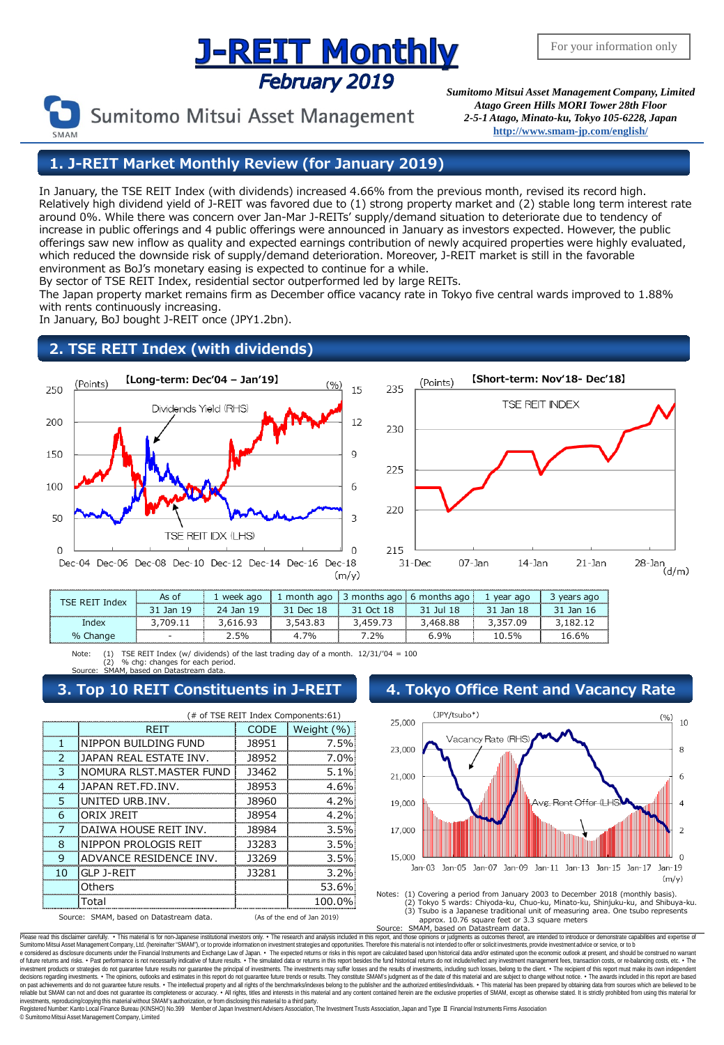## <u>J-REIT Monthly</u> February 2019

Sumitomo Mitsui Asset Management

*Sumitomo Mitsui Asset Management Company, Limited Atago Green Hills MORI Tower 28th Floor 2-5-1 Atago, Minato-ku, Tokyo 105-6228, Japan* **<http://www.smam-jp.com/english/>**

**1. J-REIT Market Monthly Review (for January 2019)**

In January, the TSE REIT Index (with dividends) increased 4.66% from the previous month, revised its record high. Relatively high dividend yield of J-REIT was favored due to (1) strong property market and (2) stable long term interest rate around 0%. While there was concern over Jan-Mar J-REITs' supply/demand situation to deteriorate due to tendency of increase in public offerings and 4 public offerings were announced in January as investors expected. However, the public offerings saw new inflow as quality and expected earnings contribution of newly acquired properties were highly evaluated, which reduced the downside risk of supply/demand deterioration. Moreover, J-REIT market is still in the favorable environment as BoJ's monetary easing is expected to continue for a while.

By sector of TSE REIT Index, residential sector outperformed led by large REITs.

The Japan property market remains firm as December office vacancy rate in Tokyo five central wards improved to 1.88% with rents continuously increasing.

In January, BoJ bought J-REIT once (JPY1.2bn).

## **2. TSE REIT Index (with dividends)**





| ISE REII | As of<br><b><i><u>PERSONAL PROPERTY AND DESCRIPTIONS OF A REPORT OF THE COMPANY OF A REPORT OF THE COMPANY OF A REPORT OF THE COMPANY OF A REPORT OF THE COMPANY OF A REPORT OF THE COMPANY OF THE COMPANY OF A REPORT OF THE COMPANY OF A RE</u></i></b> | week ago     | month ago       | 3 months ago | 6 months ago | year ago | s ago |
|----------|-----------------------------------------------------------------------------------------------------------------------------------------------------------------------------------------------------------------------------------------------------------|--------------|-----------------|--------------|--------------|----------|-------|
|          | Jan<br>19                                                                                                                                                                                                                                                 | Jan 19<br>24 | 20 <sup>o</sup> |              | 101 1 X      | Jan 18   | lan 1 |
| index    |                                                                                                                                                                                                                                                           |              |                 |              | .468.88      | ng       |       |
| % Change |                                                                                                                                                                                                                                                           | 5%           | 7%              | 2%           | 9%           | 10.5%    | 16.6% |

Note: (1) TSE REIT Index (w/ dividends) of the last trading day of a month.  $12/31/104 = 100$ (2) % chg: changes for each period. Source: SMAM, based on Datastream data.

## **3. Top 10 REIT Constituents in J-REIT 4. Tokyo Office Rent and Vacancy Rate**

|                | (# of TSE REIT Index Components:61)     |       |                             |  |  |  |  |
|----------------|-----------------------------------------|-------|-----------------------------|--|--|--|--|
|                | RFIT                                    | CODE  | Weight (%)                  |  |  |  |  |
| 1              | NIPPON BUILDING FUND                    | 18951 | 7.5%                        |  |  |  |  |
| っ              | JAPAN REAL ESTATE INV.                  | 18952 | 7.0%                        |  |  |  |  |
| 3              | NOMURA RLST. MASTER FUND                | 13462 | $5.1\%$                     |  |  |  |  |
| 4              | JAPAN RFT FD INV.                       | 18953 | 4.6%                        |  |  |  |  |
| 5              | UNITED URB.INV.                         | 18960 | 4.2%                        |  |  |  |  |
| 6              | ORIX IRFIT                              | 18954 | 4.2%                        |  |  |  |  |
| 7              | DAIWA HOUSE REIT INV.                   | 18984 | 3.5%                        |  |  |  |  |
| Զ              | NIPPON PROLOGIS REIT                    | 13283 | 3.5%                        |  |  |  |  |
| q              | ADVANCE RESIDENCE INV.                  | 13269 | 3.5%                        |  |  |  |  |
| 1 <sub>0</sub> | <b>GLP 1-RFIT</b>                       | 13281 | 3.2%                        |  |  |  |  |
|                | Others                                  |       | 53.6%                       |  |  |  |  |
|                | Total                                   |       | 100.0%                      |  |  |  |  |
|                | Source: SMAM, based on Datastream data. |       | (As of the end of Jan 2019) |  |  |  |  |





Please read this disclaimer carefuly. • This material is for non-Japanese institutional investors only. • The research and analysis included in this report, and those opinions or judgments as outcomes thereof, are intended e considered as disclosure documents under the Financial Instruments and Exchange Law of Japan. • The expected returns or risks in this report are calculated based upon historical data and/or estimated upon the economic ou decisions regarding investments. • The opinions, outlooks and estimates in this report do not guarantee fulure trends or results. They constitute SMAM's judgment as of the fate of this material and are subject to change wi investments, reproducing/copying this material without SMAM's authorization, or from disclosing thismaterial to a third party.

egistered Number: Kanto Local Finance Bureau (KINSHO) No.399 Member of Japan Investment Advisers Association, The Investment Trusts Association, Japan and Type Ⅱ Financial Instruments Firms Association © SumitomoMitsui Asset Management Company, Limited